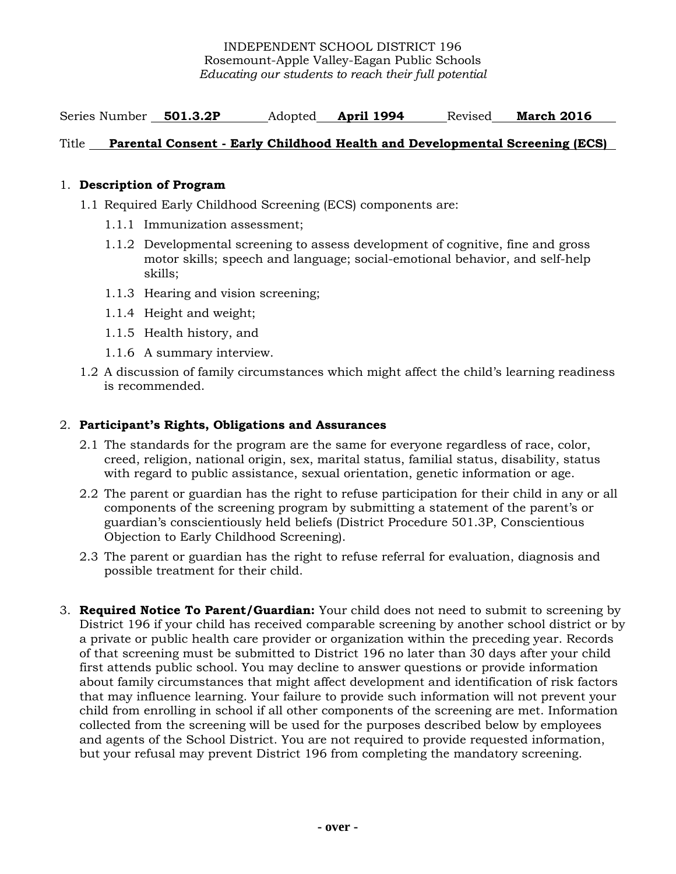Series Number **501.3.2P** Adopted **April 1994** Revised **March 2016**

## Title **Parental Consent - Early Childhood Health and Developmental Screening (ECS)**

## 1. **Description of Program**

- 1.1 Required Early Childhood Screening (ECS) components are:
	- 1.1.1 Immunization assessment;
	- 1.1.2 Developmental screening to assess development of cognitive, fine and gross motor skills; speech and language; social-emotional behavior, and self-help skills;
	- 1.1.3 Hearing and vision screening;
	- 1.1.4 Height and weight;
	- 1.1.5 Health history, and
	- 1.1.6 A summary interview.
- 1.2 A discussion of family circumstances which might affect the child's learning readiness is recommended.

## 2. **Participant's Rights, Obligations and Assurances**

- 2.1 The standards for the program are the same for everyone regardless of race, color, creed, religion, national origin, sex, marital status, familial status, disability, status with regard to public assistance, sexual orientation, genetic information or age.
- 2.2 The parent or guardian has the right to refuse participation for their child in any or all components of the screening program by submitting a statement of the parent's or guardian's conscientiously held beliefs (District Procedure 501.3P, Conscientious Objection to Early Childhood Screening).
- 2.3 The parent or guardian has the right to refuse referral for evaluation, diagnosis and possible treatment for their child.
- 3. **Required Notice To Parent/Guardian:** Your child does not need to submit to screening by District 196 if your child has received comparable screening by another school district or by a private or public health care provider or organization within the preceding year. Records of that screening must be submitted to District 196 no later than 30 days after your child first attends public school. You may decline to answer questions or provide information about family circumstances that might affect development and identification of risk factors that may influence learning. Your failure to provide such information will not prevent your child from enrolling in school if all other components of the screening are met. Information collected from the screening will be used for the purposes described below by employees and agents of the School District. You are not required to provide requested information, but your refusal may prevent District 196 from completing the mandatory screening.